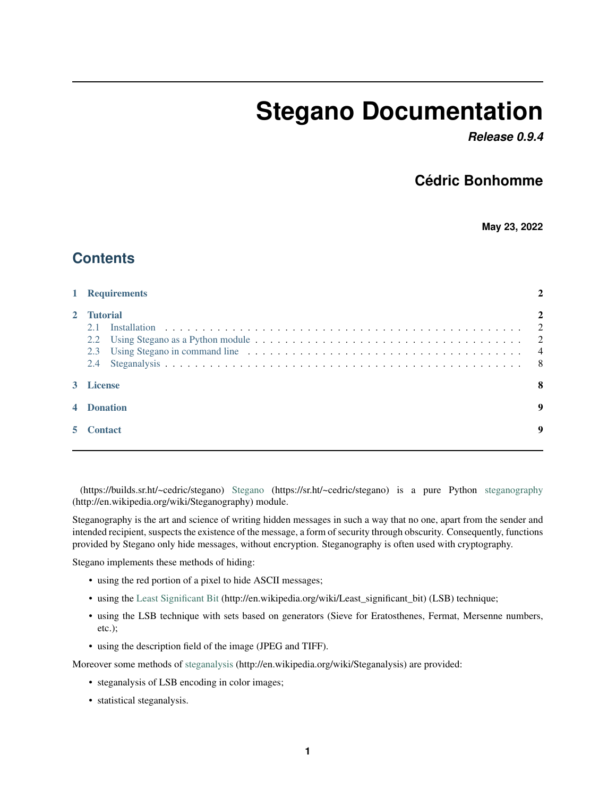# **Stegano Documentation**

*Release 0.9.4*

### **Cédric Bonhomme**

**May 23, 2022**

### **Contents**

| 1 Requirements                         |  |  |
|----------------------------------------|--|--|
| 2 Tutorial<br>2.1<br>2.2<br>2.3<br>2.4 |  |  |
| 3 License                              |  |  |
| 4 Donation                             |  |  |
| <b>Contact</b>                         |  |  |
|                                        |  |  |

(https://builds.sr.ht/~cedric/stegano) [Stegano](https://sr.ht/~cedric/stegano) (https://sr.ht/~cedric/stegano) is a pure Python [steganography](http://en.wikipedia.org/wiki/Steganography) (http://en.wikipedia.org/wiki/Steganography) module.

Steganography is the art and science of writing hidden messages in such a way that no one, apart from the sender and intended recipient, suspects the existence of the message, a form of security through obscurity. Consequently, functions provided by Stegano only hide messages, without encryption. Steganography is often used with cryptography.

Stegano implements these methods of hiding:

- using the red portion of a pixel to hide ASCII messages;
- using the [Least Significant Bit](http://en.wikipedia.org/wiki/Least_significant_bit) (http://en.wikipedia.org/wiki/Least\_significant\_bit) (LSB) technique;
- using the LSB technique with sets based on generators (Sieve for Eratosthenes, Fermat, Mersenne numbers, etc.);
- using the description field of the image (JPEG and TIFF).

Moreover some methods of [steganalysis](http://en.wikipedia.org/wiki/Steganalysis) (http://en.wikipedia.org/wiki/Steganalysis) are provided:

- steganalysis of LSB encoding in color images;
- statistical steganalysis.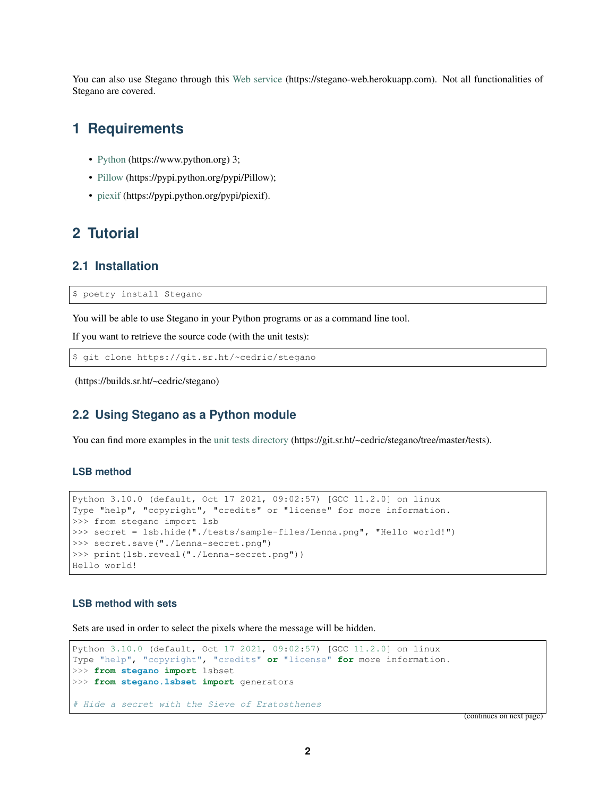You can also use Stegano through this [Web service](https://stegano-web.herokuapp.com) (https://stegano-web.herokuapp.com). Not all functionalities of Stegano are covered.

### <span id="page-1-0"></span>**1 Requirements**

- [Python](https://www.python.org) (https://www.python.org) 3;
- [Pillow](https://pypi.python.org/pypi/Pillow) (https://pypi.python.org/pypi/Pillow);
- [piexif](https://pypi.python.org/pypi/piexif) (https://pypi.python.org/pypi/piexif).

### <span id="page-1-1"></span>**2 Tutorial**

#### <span id="page-1-2"></span>**2.1 Installation**

\$ poetry install Stegano

You will be able to use Stegano in your Python programs or as a command line tool.

If you want to retrieve the source code (with the unit tests):

\$ git clone https://git.sr.ht/~cedric/stegano

(https://builds.sr.ht/~cedric/stegano)

### <span id="page-1-3"></span>**2.2 Using Stegano as a Python module**

You can find more examples in the [unit tests directory](https://git.sr.ht/~cedric/stegano/tree/master/tests) (https://git.sr.ht/~cedric/stegano/tree/master/tests).

#### **LSB method**

```
Python 3.10.0 (default, Oct 17 2021, 09:02:57) [GCC 11.2.0] on linux
Type "help", "copyright", "credits" or "license" for more information.
>>> from stegano import lsb
>>> secret = lsb.hide("./tests/sample-files/Lenna.png", "Hello world!")
>>> secret.save("./Lenna-secret.png")
>>> print(lsb.reveal("./Lenna-secret.png"))
Hello world!
```
#### **LSB method with sets**

Sets are used in order to select the pixels where the message will be hidden.

```
Python 3.10.0 (default, Oct 17 2021, 09:02:57) [GCC 11.2.0] on linux
Type "help", "copyright", "credits" or "license" for more information.
>>> from stegano import lsbset
>>> from stegano.lsbset import generators
# Hide a secret with the Sieve of Eratosthenes
```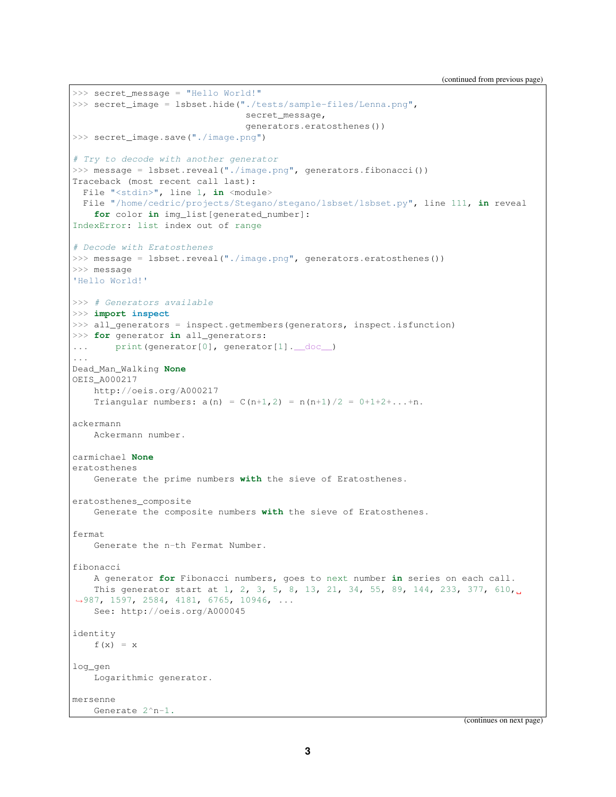```
>>> secret_message = "Hello World!"
>>> secret_image = lsbset.hide("./tests/sample-files/Lenna.png",
                                secret_message,
                                generators.eratosthenes())
>>> secret_image.save("./image.png")
# Try to decode with another generator
>>> message = lsbset.reveal("./image.png", generators.fibonacci())
Traceback (most recent call last):
 File "<stdin>", line 1, in <module>
 File "/home/cedric/projects/Stegano/stegano/lsbset/lsbset.py", line 111, in reveal
   for color in img_list[generated_number]:
IndexError: list index out of range
# Decode with Eratosthenes
>>> message = lsbset.reveal("./image.png", generators.eratosthenes())
>>> message
'Hello World!'
>>> # Generators available
>>> import inspect
>>> all_generators = inspect.getmembers(generators, inspect.isfunction)
>>> for generator in all_generators:
... print(generator[0], generator[1]. doc_)
...
Dead_Man_Walking None
OEIS_A000217
   http://oeis.org/A000217
   Triangular numbers: a(n) = C(n+1,2) = n(n+1)/2 = 0+1+2+...+n.
ackermann
   Ackermann number.
carmichael None
eratosthenes
   Generate the prime numbers with the sieve of Eratosthenes.
eratosthenes_composite
   Generate the composite numbers with the sieve of Eratosthenes.
fermat
   Generate the n-th Fermat Number.
fibonacci
    A generator for Fibonacci numbers, goes to next number in series on each call.
   This generator start at 1, 2, 3, 5, 8, 13, 21, 34, 55, 89, 144, 233, 377, 610,
˓→987, 1597, 2584, 4181, 6765, 10946, ...
   See: http://oeis.org/A000045
identity
   f(x) = xlog_gen
   Logarithmic generator.
mersenne
  Generate 2^n-1.
```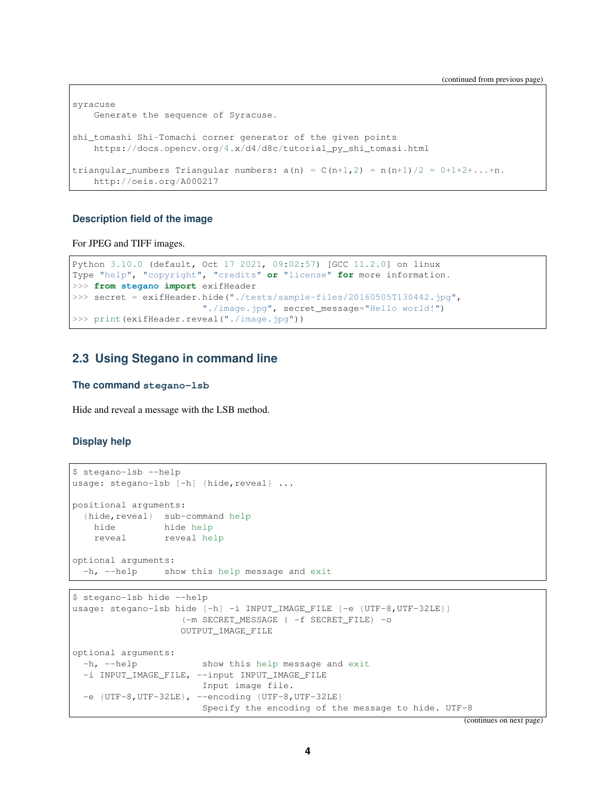```
syracuse
   Generate the sequence of Syracuse.
shi_tomashi Shi-Tomachi corner generator of the given points
    https://docs.opencv.org/4.x/d4/d8c/tutorial_py_shi_tomasi.html
triangular_numbers Triangular numbers: a(n) = C(n+1,2) = n(n+1)/2 = 0+1+2+\ldots+n.
   http://oeis.org/A000217
```
#### **Description field of the image**

For JPEG and TIFF images.

```
Python 3.10.0 (default, Oct 17 2021, 09:02:57) [GCC 11.2.0] on linux
Type "help", "copyright", "credits" or "license" for more information.
>>> from stegano import exifHeader
>>> secret = exifHeader.hide("./tests/sample-files/20160505T130442.jpg",
                       "./image.jpg", secret_message="Hello world!")
>>> print(exifHeader.reveal("./image.jpg"))
```
#### <span id="page-3-0"></span>**2.3 Using Stegano in command line**

#### **The command stegano-lsb**

Hide and reveal a message with the LSB method.

#### **Display help**

```
$ stegano-lsb --help
usage: stegano-lsb [-h] {hide, reveal} ...
positional arguments:
 {hide,reveal} sub-command help
   hide hide help
   reveal reveal help
optional arguments:
 -h, --help show this help message and exit
```

```
$ stegano-lsb hide --help
usage: stegano-lsb hide [-h] -i INPUT_IMAGE_FILE [-e {UTF-8,UTF-32LE}]
                   (-m SECRET_MESSAGE | -f SECRET_FILE) -o
                   OUTPUT_IMAGE_FILE
optional arguments:
 -h, --help show this help message and exit
 -i INPUT_IMAGE_FILE, --input INPUT_IMAGE_FILE
                       Input image file.
 -e {UTF-8, UTF-32LE}, --encoding {UTF-8, UTF-32LE}
                       Specify the encoding of the message to hide. UTF-8
```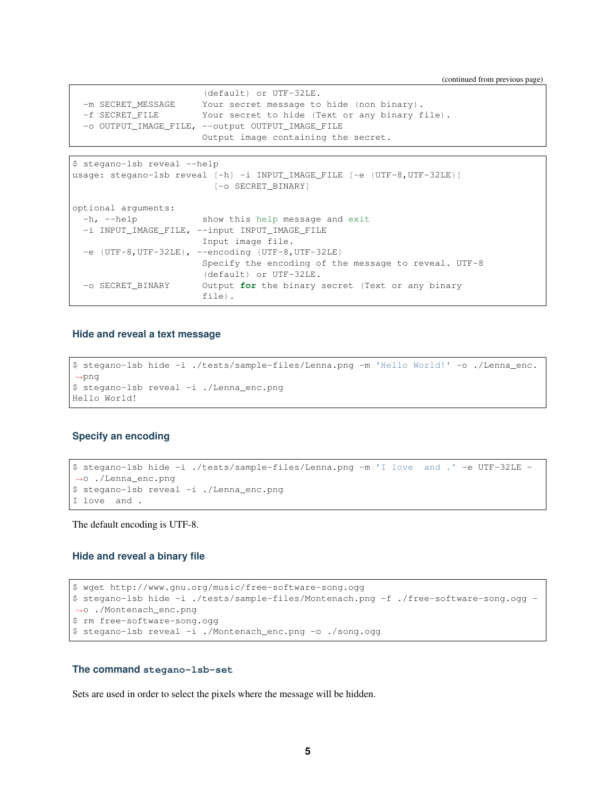(continued from previous page)

|                   | (default) or UTF-32LE.                           |
|-------------------|--------------------------------------------------|
| -m SECRET MESSAGE | Your secret message to hide (non binary).        |
| -f SECRET FILE    | Your secret to hide (Text or any binary file).   |
|                   | -o OUTPUT_IMAGE_FILE, --output_OUTPUT_IMAGE_FILE |
|                   | Output image containing the secret.              |

```
$ stegano-lsb reveal --help
usage: stegano-lsb reveal [-h] -i INPUT_IMAGE_FILE [-e {UTF-8,UTF-32LE}]
                         [-o SECRET_BINARY]
optional arguments:
 -h, --help show this help message and exit
 -i INPUT_IMAGE_FILE, --input INPUT_IMAGE_FILE
                      Input image file.
 -e {UTF-8,UTF-32LE}, --encoding {UTF-8,UTF-32LE}
                       Specify the encoding of the message to reveal. UTF-8
                       (default) or UTF-32LE.
 -o SECRET_BINARY Output for the binary secret (Text or any binary
                       file).
```
#### **Hide and reveal a text message**

```
$ stegano-lsb hide -i ./tests/sample-files/Lenna.png -m 'Hello World!' -o ./Lenna_enc.
˓→png
$ stegano-lsb reveal -i ./Lenna_enc.png
Hello World!
```
#### **Specify an encoding**

```
$ stegano-lsb hide -i ./tests/sample-files/Lenna.png -m 'I love and .' -e UTF-32LE -
˓→o ./Lenna_enc.png
$ stegano-lsb reveal -i ./Lenna_enc.png
I love and .
```
The default encoding is UTF-8.

#### **Hide and reveal a binary file**

```
$ wget http://www.gnu.org/music/free-software-song.ogg
$ stegano-lsb hide -i ./tests/sample-files/Montenach.png -f ./free-software-song.ogg -
˓→o ./Montenach_enc.png
$ rm free-software-song.ogg
$ stegano-lsb reveal -i ./Montenach_enc.png -o ./song.ogg
```
#### **The command stegano-lsb-set**

Sets are used in order to select the pixels where the message will be hidden.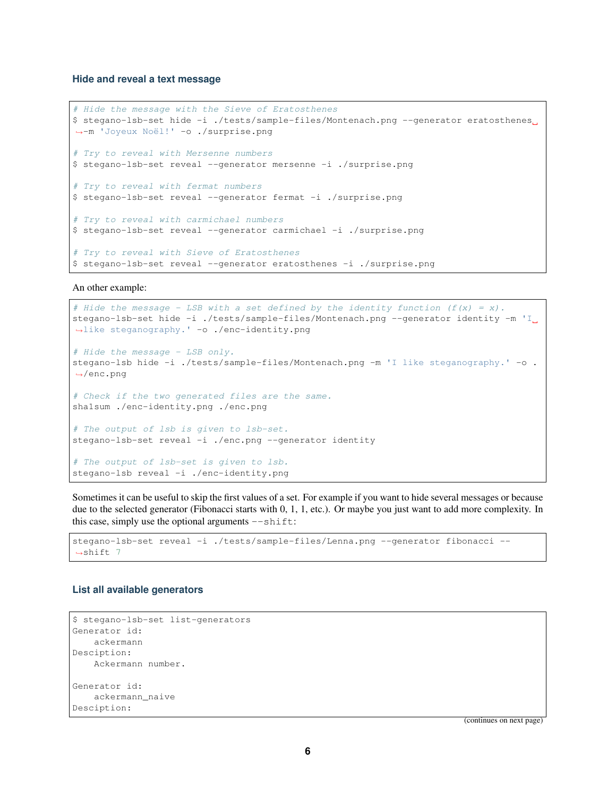#### **Hide and reveal a text message**

```
# Hide the message with the Sieve of Eratosthenes
$ stegano-lsb-set hide -i ./tests/sample-files/Montenach.png --generator eratosthenes
˓→-m 'Joyeux Noël!' -o ./surprise.png
# Try to reveal with Mersenne numbers
$ stegano-lsb-set reveal --generator mersenne -i ./surprise.png
# Try to reveal with fermat numbers
$ stegano-lsb-set reveal --generator fermat -i ./surprise.png
# Try to reveal with carmichael numbers
$ stegano-lsb-set reveal --generator carmichael -i ./surprise.png
# Try to reveal with Sieve of Eratosthenes
$ stegano-lsb-set reveal --generator eratosthenes -i ./surprise.png
```
An other example:

```
# Hide the message - LSB with a set defined by the identity function (f(x) = x).
stegano-lsb-set hide -i ./tests/sample-files/Montenach.png --generator identity -m 'I
˓→like steganography.' -o ./enc-identity.png
# Hide the message - LSB only.
stegano-lsb hide -i ./tests/sample-files/Montenach.png -m 'I like steganography.' -o .
˓→/enc.png
# Check if the two generated files are the same.
sha1sum ./enc-identity.png ./enc.png
# The output of lsb is given to lsb-set.
stegano-lsb-set reveal -i ./enc.png --generator identity
# The output of lsb-set is given to lsb.
stegano-lsb reveal -i ./enc-identity.png
```
Sometimes it can be useful to skip the first values of a set. For example if you want to hide several messages or because due to the selected generator (Fibonacci starts with 0, 1, 1, etc.). Or maybe you just want to add more complexity. In this case, simply use the optional arguments  $--$ shift:

```
stegano-lsb-set reveal -i ./tests/sample-files/Lenna.png --generator fibonacci --
\rightarrowshift 7
```
#### **List all available generators**

```
$ stegano-lsb-set list-generators
Generator id:
   ackermann
Desciption:
   Ackermann number.
Generator id:
   ackermann_naive
Desciption:
```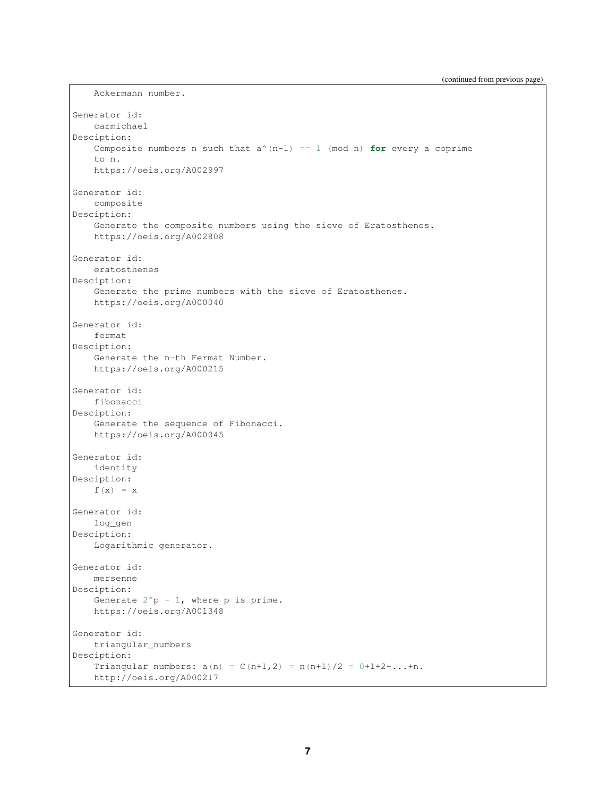```
Generator id:
   carmichael
Desciption:
   Composite numbers n such that a^{(n-1)} = 1 \pmod{n} for every a coprime
   to n.
   https://oeis.org/A002997
Generator id:
   composite
Desciption:
   Generate the composite numbers using the sieve of Eratosthenes.
   https://oeis.org/A002808
Generator id:
   eratosthenes
Desciption:
   Generate the prime numbers with the sieve of Eratosthenes.
   https://oeis.org/A000040
Generator id:
   fermat
Desciption:
   Generate the n-th Fermat Number.
   https://oeis.org/A000215
Generator id:
   fibonacci
Desciption:
   Generate the sequence of Fibonacci.
   https://oeis.org/A000045
Generator id:
   identity
Desciption:
   f(x) = xGenerator id:
   log_gen
Desciption:
   Logarithmic generator.
Generator id:
   mersenne
Desciption:
   Generate 2^p - 1, where p is prime.
   https://oeis.org/A001348
Generator id:
   triangular_numbers
Desciption:
   Triangular numbers: a(n) = C(n+1,2) = n(n+1)/2 = 0+1+2+...+n.
   http://oeis.org/A000217
```
Ackermann number.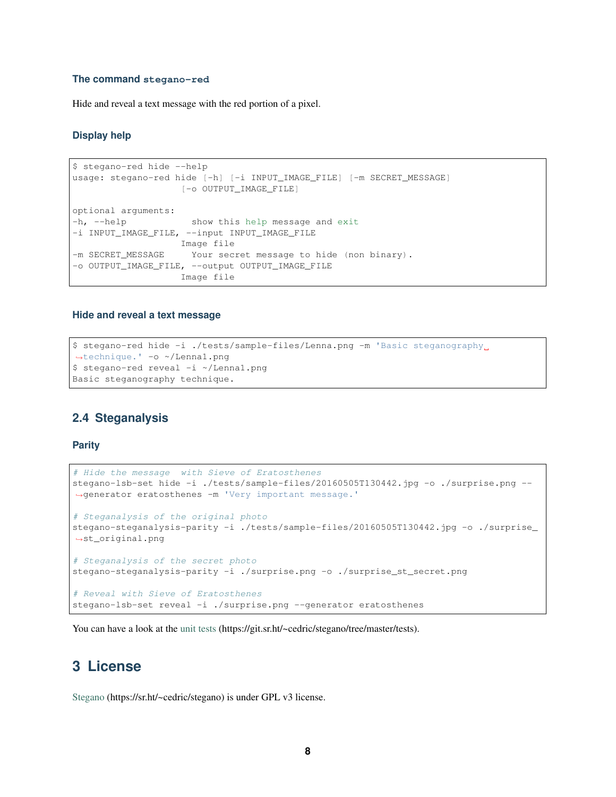#### **The command stegano-red**

Hide and reveal a text message with the red portion of a pixel.

#### **Display help**

```
$ stegano-red hide --help
usage: stegano-red hide [-h] [-i INPUT_IMAGE_FILE] [-m SECRET_MESSAGE]
                   [-o OUTPUT_IMAGE_FILE]
optional arguments:
-h, --help show this help message and exit
-i INPUT_IMAGE_FILE, --input INPUT_IMAGE_FILE
                   Image file
-m SECRET_MESSAGE Your secret message to hide (non binary).
-o OUTPUT_IMAGE_FILE, --output OUTPUT_IMAGE_FILE
                   Image file
```
#### **Hide and reveal a text message**

```
$ stegano-red hide -i ./tests/sample-files/Lenna.png -m 'Basic steganography
˓→technique.' -o ~/Lenna1.png
$ stegano-red reveal -i ~/Lenna1.png
Basic steganography technique.
```
#### <span id="page-7-0"></span>**2.4 Steganalysis**

#### **Parity**

```
# Hide the message with Sieve of Eratosthenes
stegano-lsb-set hide -i ./tests/sample-files/20160505T130442.jpg -o ./surprise.png --
˓→generator eratosthenes -m 'Very important message.'
# Steganalysis of the original photo
stegano-steganalysis-parity -i ./tests/sample-files/20160505T130442.jpg -o ./surprise_
˓→st_original.png
# Steganalysis of the secret photo
stegano-steganalysis-parity -i ./surprise.png -o ./surprise_st_secret.png
# Reveal with Sieve of Eratosthenes
stegano-lsb-set reveal -i ./surprise.png --generator eratosthenes
```
You can have a look at the [unit tests](https://git.sr.ht/~cedric/stegano/tree/master/tests) (https://git.sr.ht/~cedric/stegano/tree/master/tests).

### <span id="page-7-1"></span>**3 License**

[Stegano](https://sr.ht/~cedric/stegano) (https://sr.ht/~cedric/stegano) is under GPL v3 license.